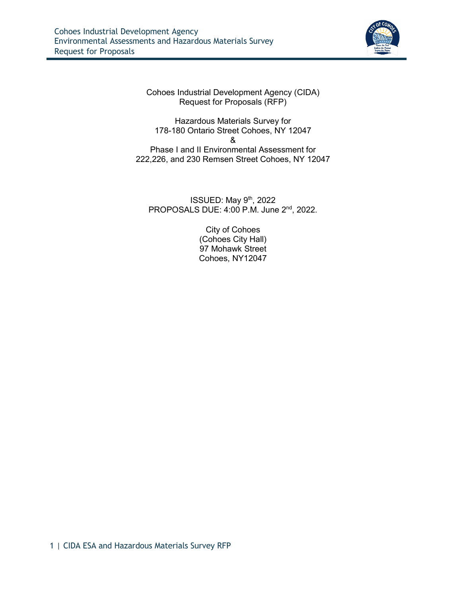

Cohoes Industrial Development Agency (CIDA) Request for Proposals (RFP)

Hazardous Materials Survey for 178-180 Ontario Street Cohoes, NY 12047 & Phase I and II Environmental Assessment for 222,226, and 230 Remsen Street Cohoes, NY 12047

ISSUED: May  $9<sup>th</sup>$ , 2022 PROPOSALS DUE: 4:00 P.M. June 2nd, 2022.

> City of Cohoes (Cohoes City Hall) 97 Mohawk Street Cohoes, NY12047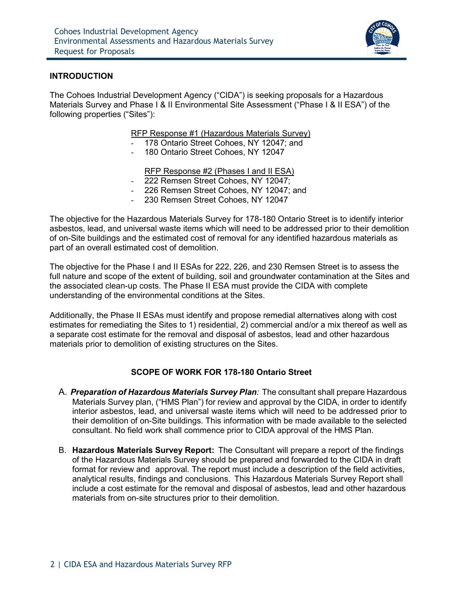

### **INTRODUCTION**

The Cohoes Industrial Development Agency ("CIDA") is seeking proposals for a Hazardous Materials Survey and Phase I & II Environmental Site Assessment ("Phase I & II ESA") of the following properties ("Sites"):

#### RFP Response #1 (Hazardous Materials Survey)

- 178 Ontario Street Cohoes, NY 12047; and
- 180 Ontario Street Cohoes, NY 12047

RFP Response #2 (Phases I and II ESA)

- 222 Remsen Street Cohoes, NY 12047;
- 226 Remsen Street Cohoes, NY 12047; and
- 230 Remsen Street Cohoes, NY 12047

The objective for the Hazardous Materials Survey for 178-180 Ontario Street is to identify interior asbestos, lead, and universal waste items which will need to be addressed prior to their demolition of on-Site buildings and the estimated cost of removal for any identified hazardous materials as part of an overall estimated cost of demolition.

The objective for the Phase I and II ESAs for 222, 226, and 230 Remsen Street is to assess the full nature and scope of the extent of building, soil and groundwater contamination at the Sites and the associated clean-up costs. The Phase II ESA must provide the CIDA with complete understanding of the environmental conditions at the Sites.

Additionally, the Phase II ESAs must identify and propose remedial alternatives along with cost estimates for remediating the Sites to 1) residential, 2) commercial and/or a mix thereof as well as a separate cost estimate for the removal and disposal of asbestos, lead and other hazardous materials prior to demolition of existing structures on the Sites.

#### **SCOPE OF WORK FOR 178-180 Ontario Street**

- A. *Preparation of Hazardous Materials Survey Plan:* The consultant shall prepare Hazardous Materials Survey plan, ("HMS Plan") for review and approval by the CIDA, in order to identify interior asbestos, lead, and universal waste items which will need to be addressed prior to their demolition of on-Site buildings. This information with be made available to the selected consultant. No field work shall commence prior to CIDA approval of the HMS Plan.
- B. **Hazardous Materials Survey Report:** The Consultant will prepare a report of the findings of the Hazardous Materials Survey should be prepared and forwarded to the CIDA in draft format for review and approval. The report must include a description of the field activities, analytical results, findings and conclusions. This Hazardous Materials Survey Report shall include a cost estimate for the removal and disposal of asbestos, lead and other hazardous materials from on-site structures prior to their demolition.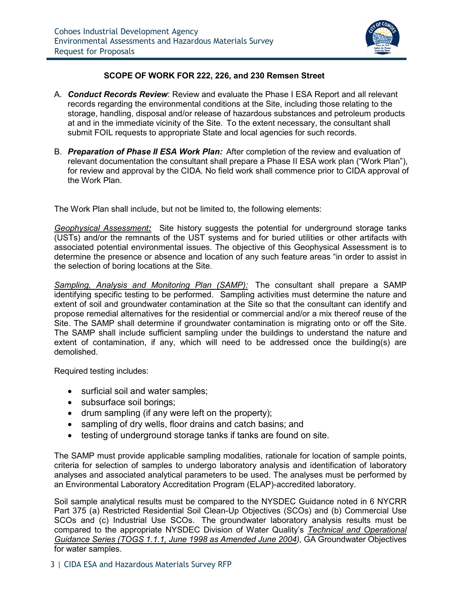

# **SCOPE OF WORK FOR 222, 226, and 230 Remsen Street**

- A. *Conduct Records Review*: Review and evaluate the Phase I ESA Report and all relevant records regarding the environmental conditions at the Site, including those relating to the storage, handling, disposal and/or release of hazardous substances and petroleum products at and in the immediate vicinity of the Site. To the extent necessary, the consultant shall submit FOIL requests to appropriate State and local agencies for such records.
- B. *Preparation of Phase II ESA Work Plan:* After completion of the review and evaluation of relevant documentation the consultant shall prepare a Phase II ESA work plan ("Work Plan"), for review and approval by the CIDA. No field work shall commence prior to CIDA approval of the Work Plan.

The Work Plan shall include, but not be limited to, the following elements:

*Geophysical Assessment:* Site history suggests the potential for underground storage tanks (USTs) and/or the remnants of the UST systems and for buried utilities or other artifacts with associated potential environmental issues. The objective of this Geophysical Assessment is to determine the presence or absence and location of any such feature areas "in order to assist in the selection of boring locations at the Site.

*Sampling, Analysis and Monitoring Plan (SAMP):* The consultant shall prepare a SAMP identifying specific testing to be performed. Sampling activities must determine the nature and extent of soil and groundwater contamination at the Site so that the consultant can identify and propose remedial alternatives for the residential or commercial and/or a mix thereof reuse of the Site. The SAMP shall determine if groundwater contamination is migrating onto or off the Site. The SAMP shall include sufficient sampling under the buildings to understand the nature and extent of contamination, if any, which will need to be addressed once the building(s) are demolished.

Required testing includes:

- surficial soil and water samples;
- subsurface soil borings;
- drum sampling (if any were left on the property);
- sampling of dry wells, floor drains and catch basins; and
- testing of underground storage tanks if tanks are found on site.

The SAMP must provide applicable sampling modalities, rationale for location of sample points, criteria for selection of samples to undergo laboratory analysis and identification of laboratory analyses and associated analytical parameters to be used. The analyses must be performed by an Environmental Laboratory Accreditation Program (ELAP)-accredited laboratory.

Soil sample analytical results must be compared to the NYSDEC Guidance noted in 6 NYCRR Part 375 (a) Restricted Residential Soil Clean-Up Objectives (SCOs) and (b) Commercial Use SCOs and (c) Industrial Use SCOs. The groundwater laboratory analysis results must be compared to the appropriate NYSDEC Division of Water Quality's *Technical and Operational Guidance Series (TOGS 1.1.1, June 1998 as Amended June 2004),* GA Groundwater Objectives for water samples.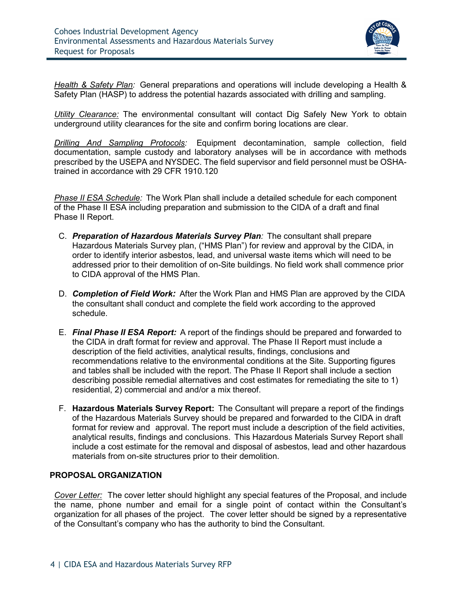

*Health & Safety Plan:* General preparations and operations will include developing a Health & Safety Plan (HASP) to address the potential hazards associated with drilling and sampling.

*Utility Clearance:* The environmental consultant will contact Dig Safely New York to obtain underground utility clearances for the site and confirm boring locations are clear.

*Drilling And Sampling Protocols:* Equipment decontamination, sample collection, field documentation, sample custody and laboratory analyses will be in accordance with methods prescribed by the USEPA and NYSDEC. The field supervisor and field personnel must be OSHAtrained in accordance with 29 CFR 1910.120

*Phase II ESA Schedule:* The Work Plan shall include a detailed schedule for each component of the Phase II ESA including preparation and submission to the CIDA of a draft and final Phase II Report.

- C. *Preparation of Hazardous Materials Survey Plan:* The consultant shall prepare Hazardous Materials Survey plan, ("HMS Plan") for review and approval by the CIDA, in order to identify interior asbestos, lead, and universal waste items which will need to be addressed prior to their demolition of on-Site buildings. No field work shall commence prior to CIDA approval of the HMS Plan.
- D. *Completion of Field Work:* After the Work Plan and HMS Plan are approved by the CIDA the consultant shall conduct and complete the field work according to the approved schedule.
- E. *Final Phase II ESA Report:* A report of the findings should be prepared and forwarded to the CIDA in draft format for review and approval. The Phase II Report must include a description of the field activities, analytical results, findings, conclusions and recommendations relative to the environmental conditions at the Site. Supporting figures and tables shall be included with the report. The Phase II Report shall include a section describing possible remedial alternatives and cost estimates for remediating the site to 1) residential, 2) commercial and and/or a mix thereof.
- F. **Hazardous Materials Survey Report:** The Consultant will prepare a report of the findings of the Hazardous Materials Survey should be prepared and forwarded to the CIDA in draft format for review and approval. The report must include a description of the field activities, analytical results, findings and conclusions. This Hazardous Materials Survey Report shall include a cost estimate for the removal and disposal of asbestos, lead and other hazardous materials from on-site structures prior to their demolition.

# **PROPOSAL ORGANIZATION**

*Cover Letter:* The cover letter should highlight any special features of the Proposal, and include the name, phone number and email for a single point of contact within the Consultant's organization for all phases of the project. The cover letter should be signed by a representative of the Consultant's company who has the authority to bind the Consultant.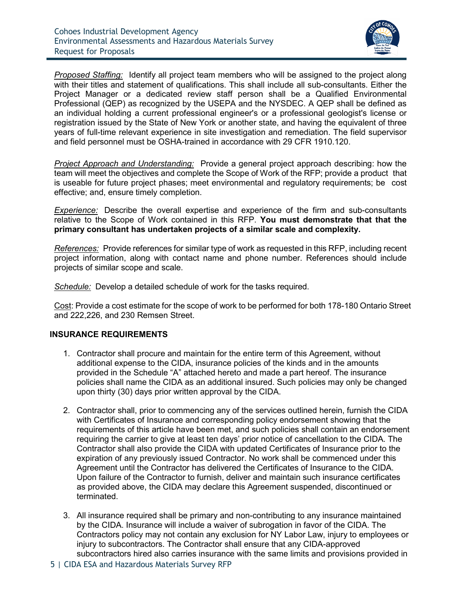

*Proposed Staffing:* Identify all project team members who will be assigned to the project along with their titles and statement of qualifications. This shall include all sub-consultants. Either the Project Manager or a dedicated review staff person shall be a Qualified Environmental Professional (QEP) as recognized by the USEPA and the NYSDEC. A QEP shall be defined as an individual holding a current professional engineer's or a professional geologist's license or registration issued by the State of New York or another state, and having the equivalent of three years of full-time relevant experience in site investigation and remediation. The field supervisor and field personnel must be OSHA-trained in accordance with 29 CFR 1910.120.

*Project Approach and Understanding:* Provide a general project approach describing: how the team will meet the objectives and complete the Scope of Work of the RFP; provide a product that is useable for future project phases; meet environmental and regulatory requirements; be cost effective; and, ensure timely completion.

**Experience:** Describe the overall expertise and experience of the firm and sub-consultants relative to the Scope of Work contained in this RFP. **You must demonstrate that that the primary consultant has undertaken projects of a similar scale and complexity.** 

*References:* Provide references for similar type of work as requested in this RFP, including recent project information, along with contact name and phone number. References should include projects of similar scope and scale.

*Schedule:* Develop a detailed schedule of work for the tasks required.

Cost: Provide a cost estimate for the scope of work to be performed for both 178-180 Ontario Street and 222,226, and 230 Remsen Street.

### **INSURANCE REQUIREMENTS**

- 1. Contractor shall procure and maintain for the entire term of this Agreement, without additional expense to the CIDA, insurance policies of the kinds and in the amounts provided in the Schedule "A" attached hereto and made a part hereof. The insurance policies shall name the CIDA as an additional insured. Such policies may only be changed upon thirty (30) days prior written approval by the CIDA.
- 2. Contractor shall, prior to commencing any of the services outlined herein, furnish the CIDA with Certificates of Insurance and corresponding policy endorsement showing that the requirements of this article have been met, and such policies shall contain an endorsement requiring the carrier to give at least ten days' prior notice of cancellation to the CIDA. The Contractor shall also provide the CIDA with updated Certificates of Insurance prior to the expiration of any previously issued Contractor. No work shall be commenced under this Agreement until the Contractor has delivered the Certificates of Insurance to the CIDA. Upon failure of the Contractor to furnish, deliver and maintain such insurance certificates as provided above, the CIDA may declare this Agreement suspended, discontinued or terminated.
- 3. All insurance required shall be primary and non-contributing to any insurance maintained by the CIDA. Insurance will include a waiver of subrogation in favor of the CIDA. The Contractors policy may not contain any exclusion for NY Labor Law, injury to employees or injury to subcontractors. The Contractor shall ensure that any CIDA-approved subcontractors hired also carries insurance with the same limits and provisions provided in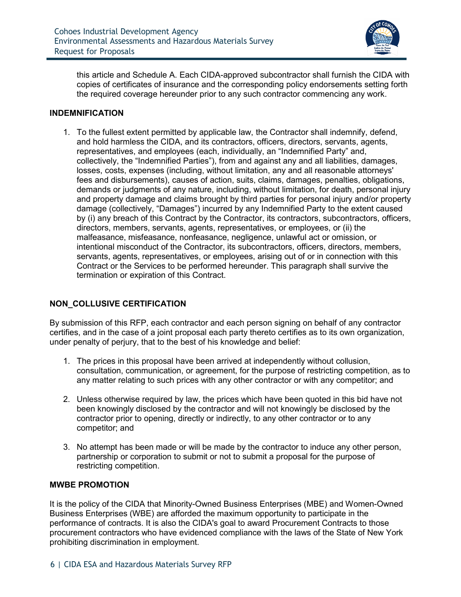

this article and Schedule A. Each CIDA-approved subcontractor shall furnish the CIDA with copies of certificates of insurance and the corresponding policy endorsements setting forth the required coverage hereunder prior to any such contractor commencing any work.

### **INDEMNIFICATION**

1. To the fullest extent permitted by applicable law, the Contractor shall indemnify, defend, and hold harmless the CIDA, and its contractors, officers, directors, servants, agents, representatives, and employees (each, individually, an "Indemnified Party" and, collectively, the "Indemnified Parties"), from and against any and all liabilities, damages, losses, costs, expenses (including, without limitation, any and all reasonable attorneys' fees and disbursements), causes of action, suits, claims, damages, penalties, obligations, demands or judgments of any nature, including, without limitation, for death, personal injury and property damage and claims brought by third parties for personal injury and/or property damage (collectively, "Damages") incurred by any Indemnified Party to the extent caused by (i) any breach of this Contract by the Contractor, its contractors, subcontractors, officers, directors, members, servants, agents, representatives, or employees, or (ii) the malfeasance, misfeasance, nonfeasance, negligence, unlawful act or omission, or intentional misconduct of the Contractor, its subcontractors, officers, directors, members, servants, agents, representatives, or employees, arising out of or in connection with this Contract or the Services to be performed hereunder. This paragraph shall survive the termination or expiration of this Contract.

### **NON\_COLLUSIVE CERTIFICATION**

By submission of this RFP, each contractor and each person signing on behalf of any contractor certifies, and in the case of a joint proposal each party thereto certifies as to its own organization, under penalty of perjury, that to the best of his knowledge and belief:

- 1. The prices in this proposal have been arrived at independently without collusion, consultation, communication, or agreement, for the purpose of restricting competition, as to any matter relating to such prices with any other contractor or with any competitor; and
- 2. Unless otherwise required by law, the prices which have been quoted in this bid have not been knowingly disclosed by the contractor and will not knowingly be disclosed by the contractor prior to opening, directly or indirectly, to any other contractor or to any competitor; and
- 3. No attempt has been made or will be made by the contractor to induce any other person, partnership or corporation to submit or not to submit a proposal for the purpose of restricting competition.

# **MWBE PROMOTION**

It is the policy of the CIDA that Minority-Owned Business Enterprises (MBE) and Women-Owned Business Enterprises (WBE) are afforded the maximum opportunity to participate in the performance of contracts. It is also the CIDA's goal to award Procurement Contracts to those procurement contractors who have evidenced compliance with the laws of the State of New York prohibiting discrimination in employment.

# 6 | CIDA ESA and Hazardous Materials Survey RFP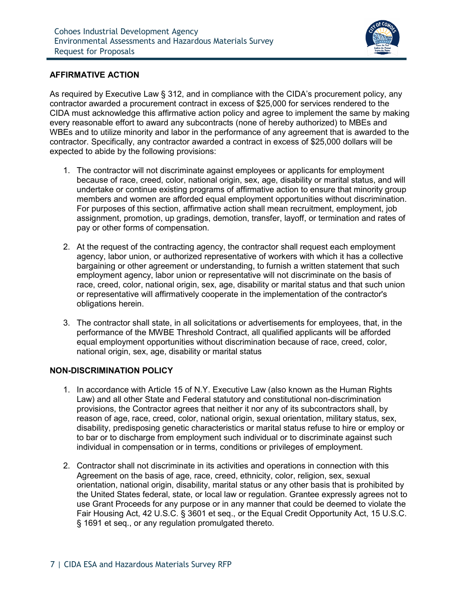

# **AFFIRMATIVE ACTION**

As required by Executive Law § 312, and in compliance with the CIDA's procurement policy, any contractor awarded a procurement contract in excess of \$25,000 for services rendered to the CIDA must acknowledge this affirmative action policy and agree to implement the same by making every reasonable effort to award any subcontracts (none of hereby authorized) to MBEs and WBEs and to utilize minority and labor in the performance of any agreement that is awarded to the contractor. Specifically, any contractor awarded a contract in excess of \$25,000 dollars will be expected to abide by the following provisions:

- 1. The contractor will not discriminate against employees or applicants for employment because of race, creed, color, national origin, sex, age, disability or marital status, and will undertake or continue existing programs of affirmative action to ensure that minority group members and women are afforded equal employment opportunities without discrimination. For purposes of this section, affirmative action shall mean recruitment, employment, job assignment, promotion, up gradings, demotion, transfer, layoff, or termination and rates of pay or other forms of compensation.
- 2. At the request of the contracting agency, the contractor shall request each employment agency, labor union, or authorized representative of workers with which it has a collective bargaining or other agreement or understanding, to furnish a written statement that such employment agency, labor union or representative will not discriminate on the basis of race, creed, color, national origin, sex, age, disability or marital status and that such union or representative will affirmatively cooperate in the implementation of the contractor's obligations herein.
- 3. The contractor shall state, in all solicitations or advertisements for employees, that, in the performance of the MWBE Threshold Contract, all qualified applicants will be afforded equal employment opportunities without discrimination because of race, creed, color, national origin, sex, age, disability or marital status

### **NON-DISCRIMINATION POLICY**

- 1. In accordance with Article 15 of N.Y. Executive Law (also known as the Human Rights Law) and all other State and Federal statutory and constitutional non-discrimination provisions, the Contractor agrees that neither it nor any of its subcontractors shall, by reason of age, race, creed, color, national origin, sexual orientation, military status, sex, disability, predisposing genetic characteristics or marital status refuse to hire or employ or to bar or to discharge from employment such individual or to discriminate against such individual in compensation or in terms, conditions or privileges of employment.
- 2. Contractor shall not discriminate in its activities and operations in connection with this Agreement on the basis of age, race, creed, ethnicity, color, religion, sex, sexual orientation, national origin, disability, marital status or any other basis that is prohibited by the United States federal, state, or local law or regulation. Grantee expressly agrees not to use Grant Proceeds for any purpose or in any manner that could be deemed to violate the Fair Housing Act, 42 U.S.C. § 3601 et seq., or the Equal Credit Opportunity Act, 15 U.S.C. § 1691 et seq., or any regulation promulgated thereto.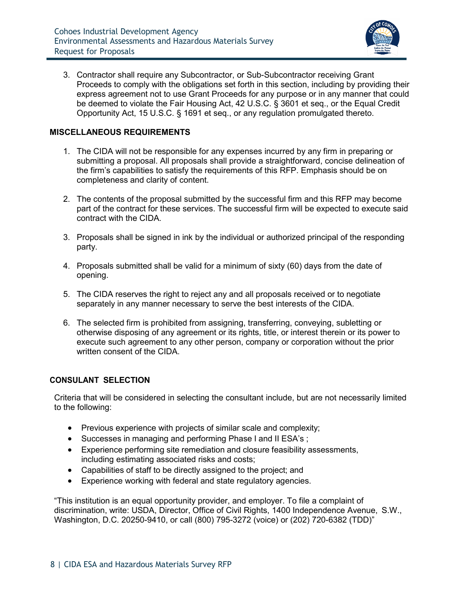

3. Contractor shall require any Subcontractor, or Sub-Subcontractor receiving Grant Proceeds to comply with the obligations set forth in this section, including by providing their express agreement not to use Grant Proceeds for any purpose or in any manner that could be deemed to violate the Fair Housing Act, 42 U.S.C. § 3601 et seq., or the Equal Credit Opportunity Act, 15 U.S.C. § 1691 et seq., or any regulation promulgated thereto.

# **MISCELLANEOUS REQUIREMENTS**

- 1. The CIDA will not be responsible for any expenses incurred by any firm in preparing or submitting a proposal. All proposals shall provide a straightforward, concise delineation of the firm's capabilities to satisfy the requirements of this RFP. Emphasis should be on completeness and clarity of content.
- 2. The contents of the proposal submitted by the successful firm and this RFP may become part of the contract for these services. The successful firm will be expected to execute said contract with the CIDA.
- 3. Proposals shall be signed in ink by the individual or authorized principal of the responding party.
- 4. Proposals submitted shall be valid for a minimum of sixty (60) days from the date of opening.
- 5. The CIDA reserves the right to reject any and all proposals received or to negotiate separately in any manner necessary to serve the best interests of the CIDA.
- 6. The selected firm is prohibited from assigning, transferring, conveying, subletting or otherwise disposing of any agreement or its rights, title, or interest therein or its power to execute such agreement to any other person, company or corporation without the prior written consent of the CIDA.

### **CONSULANT SELECTION**

Criteria that will be considered in selecting the consultant include, but are not necessarily limited to the following:

- Previous experience with projects of similar scale and complexity;
- Successes in managing and performing Phase I and II ESA's;
- Experience performing site remediation and closure feasibility assessments, including estimating associated risks and costs;
- Capabilities of staff to be directly assigned to the project; and
- Experience working with federal and state regulatory agencies.

"This institution is an equal opportunity provider, and employer. To file a complaint of discrimination, write: USDA, Director, Office of Civil Rights, 1400 Independence Avenue, S.W., Washington, D.C. 20250-9410, or call (800) 795-3272 (voice) or (202) 720-6382 (TDD)"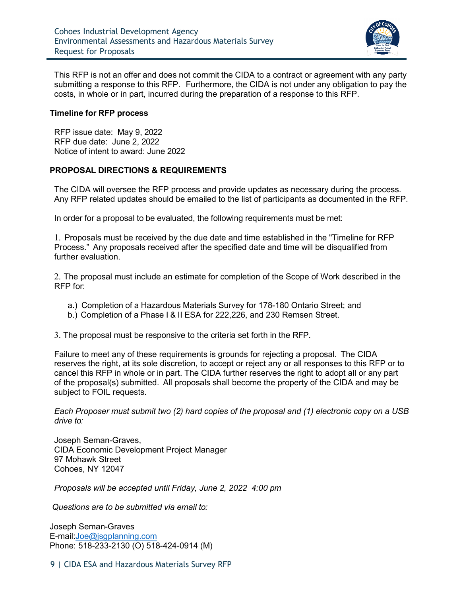

This RFP is not an offer and does not commit the CIDA to a contract or agreement with any party submitting a response to this RFP. Furthermore, the CIDA is not under any obligation to pay the costs, in whole or in part, incurred during the preparation of a response to this RFP.

#### **Timeline for RFP process**

RFP issue date: May 9, 2022 RFP due date: June 2, 2022 Notice of intent to award: June 2022

### **PROPOSAL DIRECTIONS & REQUIREMENTS**

The CIDA will oversee the RFP process and provide updates as necessary during the process. Any RFP related updates should be emailed to the list of participants as documented in the RFP.

In order for a proposal to be evaluated, the following requirements must be met:

1. Proposals must be received by the due date and time established in the "Timeline for RFP Process." Any proposals received after the specified date and time will be disqualified from further evaluation.

2. The proposal must include an estimate for completion of the Scope of Work described in the RFP for:

- a.) Completion of a Hazardous Materials Survey for 178-180 Ontario Street; and
- b.) Completion of a Phase I & II ESA for 222,226, and 230 Remsen Street.

3. The proposal must be responsive to the criteria set forth in the RFP.

Failure to meet any of these requirements is grounds for rejecting a proposal. The CIDA reserves the right, at its sole discretion, to accept or reject any or all responses to this RFP or to cancel this RFP in whole or in part. The CIDA further reserves the right to adopt all or any part of the proposal(s) submitted. All proposals shall become the property of the CIDA and may be subject to FOIL requests.

*Each Proposer must submit two (2) hard copies of the proposal and (1) electronic copy on a USB drive to:*

Joseph Seman-Graves, CIDA Economic Development Project Manager 97 Mohawk Street Cohoes, NY 12047

*Proposals will be accepted until Friday, June 2, 2022 4:00 pm*

*Questions are to be submitted via email to:*

Joseph Seman-Graves E-mail[:Joe@jsgplanning.com](mailto:Joe@jsgplanning.com)  Phone: 518-233-2130 (O) 518-424-0914 (M)

9 | CIDA ESA and Hazardous Materials Survey RFP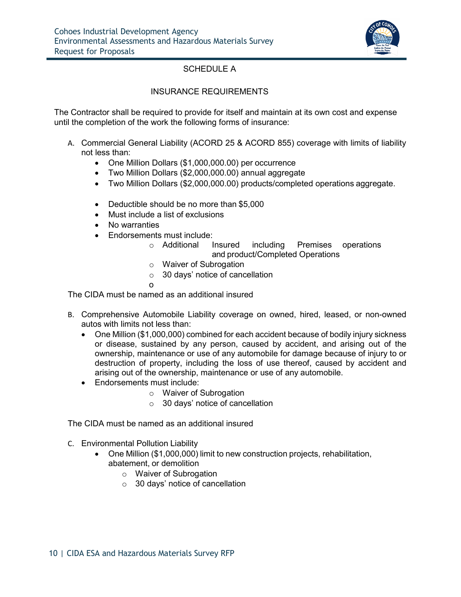

# SCHEDULE A

### INSURANCE REQUIREMENTS

The Contractor shall be required to provide for itself and maintain at its own cost and expense until the completion of the work the following forms of insurance:

- A. Commercial General Liability (ACORD 25 & ACORD 855) coverage with limits of liability not less than:
	- One Million Dollars (\$1,000,000.00) per occurrence
	- Two Million Dollars (\$2,000,000.00) annual aggregate
	- Two Million Dollars (\$2,000,000.00) products/completed operations aggregate.
	- Deductible should be no more than \$5,000
	- Must include a list of exclusions
	- No warranties
	- Endorsements must include:
		- o Additional Insured including Premises operations and product/Completed Operations
		- o Waiver of Subrogation
		- $\circ$  30 days' notice of cancellation
		- o

The CIDA must be named as an additional insured

- B. Comprehensive Automobile Liability coverage on owned, hired, leased, or non-owned autos with limits not less than:
	- One Million (\$1,000,000) combined for each accident because of bodily injury sickness or disease, sustained by any person, caused by accident, and arising out of the ownership, maintenance or use of any automobile for damage because of injury to or destruction of property, including the loss of use thereof, caused by accident and arising out of the ownership, maintenance or use of any automobile.
	- Endorsements must include:
		- o Waiver of Subrogation
		- o 30 days' notice of cancellation

The CIDA must be named as an additional insured

- C. Environmental Pollution Liability
	- One Million (\$1,000,000) limit to new construction projects, rehabilitation, abatement, or demolition
		- o Waiver of Subrogation
		- o 30 days' notice of cancellation